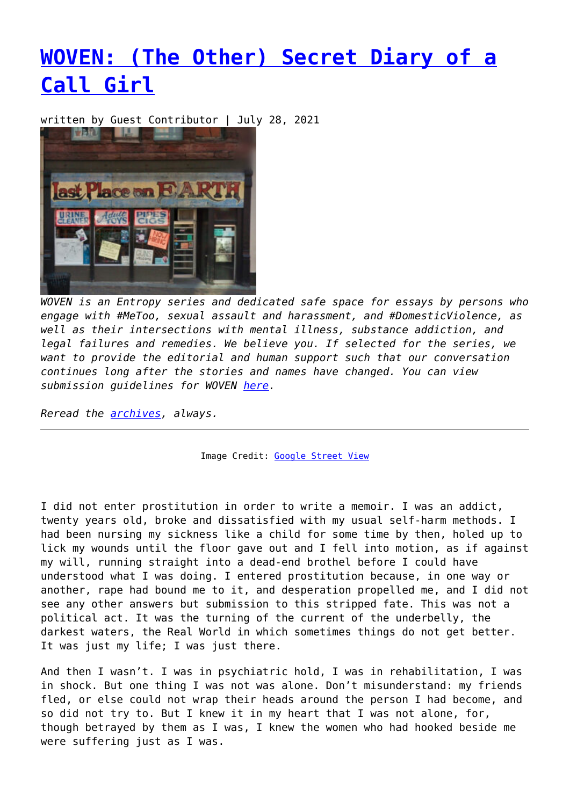## **[WOVEN: \(The Other\) Secret Diary of a](https://entropymag.org/woven-the-other-secret-diary-of-a-call-girl/) [Call Girl](https://entropymag.org/woven-the-other-secret-diary-of-a-call-girl/)**

written by Guest Contributor | July 28, 2021



*WOVEN is an Entropy series and dedicated safe space for essays by persons who engage with #MeToo, sexual assault and harassment, and #DomesticViolence, as well as their intersections with mental illness, substance addiction, and legal failures and remedies. We believe you. If selected for the series, we want to provide the editorial and human support such that our conversation continues long after the stories and names have changed. You can view submission guidelines for WOVEN [here.](https://entropymag.org/woven-call-for-submissions/)*

*Reread the [archives](https://entropymag.org/tag/woven/), always.* 

Image Credit: [Google Street View](https://signdesign.tumblr.com/post/654078136907087872/duluth-minnesota-usa)

I did not enter prostitution in order to write a memoir. I was an addict, twenty years old, broke and dissatisfied with my usual self-harm methods. I had been nursing my sickness like a child for some time by then, holed up to lick my wounds until the floor gave out and I fell into motion, as if against my will, running straight into a dead-end brothel before I could have understood what I was doing. I entered prostitution because, in one way or another, rape had bound me to it, and desperation propelled me, and I did not see any other answers but submission to this stripped fate. This was not a political act. It was the turning of the current of the underbelly, the darkest waters, the Real World in which sometimes things do not get better. It was just my life; I was just there.

And then I wasn't. I was in psychiatric hold, I was in rehabilitation, I was in shock. But one thing I was not was alone. Don't misunderstand: my friends fled, or else could not wrap their heads around the person I had become, and so did not try to. But I knew it in my heart that I was not alone, for, though betrayed by them as I was, I knew the women who had hooked beside me were suffering just as I was.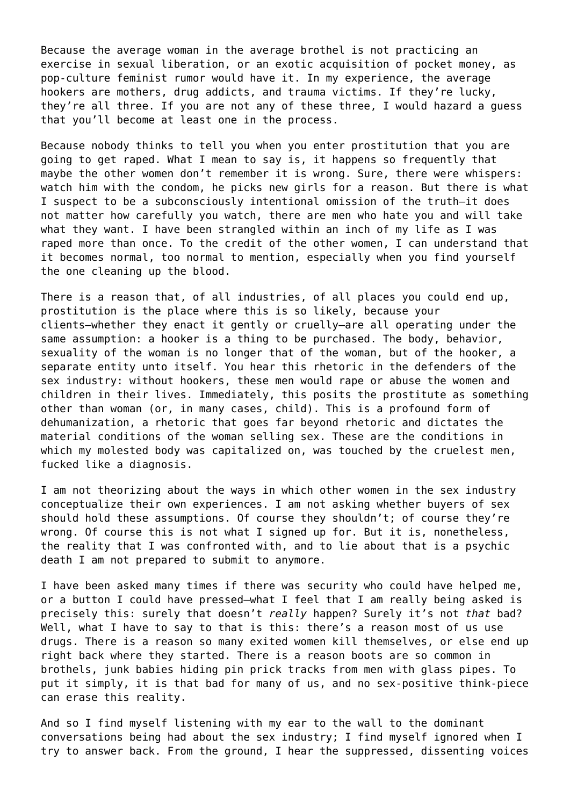Because the average woman in the average brothel is not practicing an exercise in sexual liberation, or an exotic acquisition of pocket money, as pop-culture feminist rumor would have it. In my experience, the average hookers are mothers, drug addicts, and trauma victims. If they're lucky, they're all three. If you are not any of these three, I would hazard a guess that you'll become at least one in the process.

Because nobody thinks to tell you when you enter prostitution that you are going to get raped. What I mean to say is, it happens so frequently that maybe the other women don't remember it is wrong. Sure, there were whispers: watch him with the condom, he picks new girls for a reason. But there is what I suspect to be a subconsciously intentional omission of the truth—it does not matter how carefully you watch, there are men who hate you and will take what they want. I have been strangled within an inch of my life as I was raped more than once. To the credit of the other women, I can understand that it becomes normal, too normal to mention, especially when you find yourself the one cleaning up the blood.

There is a reason that, of all industries, of all places you could end up, prostitution is the place where this is so likely, because your clients—whether they enact it gently or cruelly—are all operating under the same assumption: a hooker is a thing to be purchased. The body, behavior, sexuality of the woman is no longer that of the woman, but of the hooker, a separate entity unto itself. You hear this rhetoric in the defenders of the sex industry: without hookers, these men would rape or abuse the women and children in their lives. Immediately, this posits the prostitute as something other than woman (or, in many cases, child). This is a profound form of dehumanization, a rhetoric that goes far beyond rhetoric and dictates the material conditions of the woman selling sex. These are the conditions in which my molested body was capitalized on, was touched by the cruelest men, fucked like a diagnosis.

I am not theorizing about the ways in which other women in the sex industry conceptualize their own experiences. I am not asking whether buyers of sex should hold these assumptions. Of course they shouldn't; of course they're wrong. Of course this is not what I signed up for. But it is, nonetheless, the reality that I was confronted with, and to lie about that is a psychic death I am not prepared to submit to anymore.

I have been asked many times if there was security who could have helped me, or a button I could have pressed—what I feel that I am really being asked is precisely this: surely that doesn't *really* happen? Surely it's not *that* bad? Well, what I have to say to that is this: there's a reason most of us use drugs. There is a reason so many exited women kill themselves, or else end up right back where they started. There is a reason boots are so common in brothels, junk babies hiding pin prick tracks from men with glass pipes. To put it simply, it is that bad for many of us, and no sex-positive think-piece can erase this reality.

And so I find myself listening with my ear to the wall to the dominant conversations being had about the sex industry; I find myself ignored when I try to answer back. From the ground, I hear the suppressed, dissenting voices